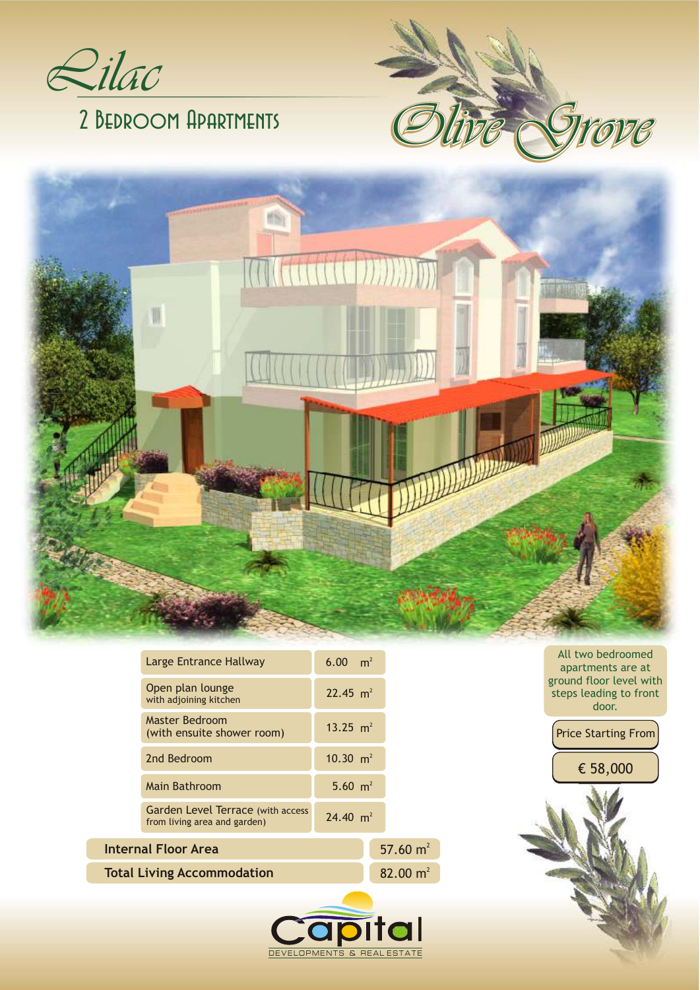

# 2 Bedroom Apartments



|                                   | Large Entrance Hallway                                                   | 6.00 $m^2$  |             |
|-----------------------------------|--------------------------------------------------------------------------|-------------|-------------|
|                                   | Open plan lounge<br>with adjoining kitchen                               | 22.45 $m^2$ |             |
|                                   | Master Bedroom<br>(with ensuite shower room)                             | 13.25 $m^2$ |             |
|                                   | 2nd Bedroom                                                              | 10.30 $m^2$ |             |
|                                   | <b>Main Bathroom</b>                                                     | 5.60 $m^2$  |             |
|                                   | <b>Garden Level Terrace (with access</b><br>from living area and garden) | 24.40 $m^2$ |             |
| Internal Floor Area               |                                                                          |             | 57.60 $m2$  |
| <b>Total Living Accommodation</b> |                                                                          |             | 82.00 $m^2$ |

DEVELOPMENTS & REAL ESTATE

All two bedroomed apartments are at ground floor level with steps leading to front door.

**STINY GO** 



€ 58,000